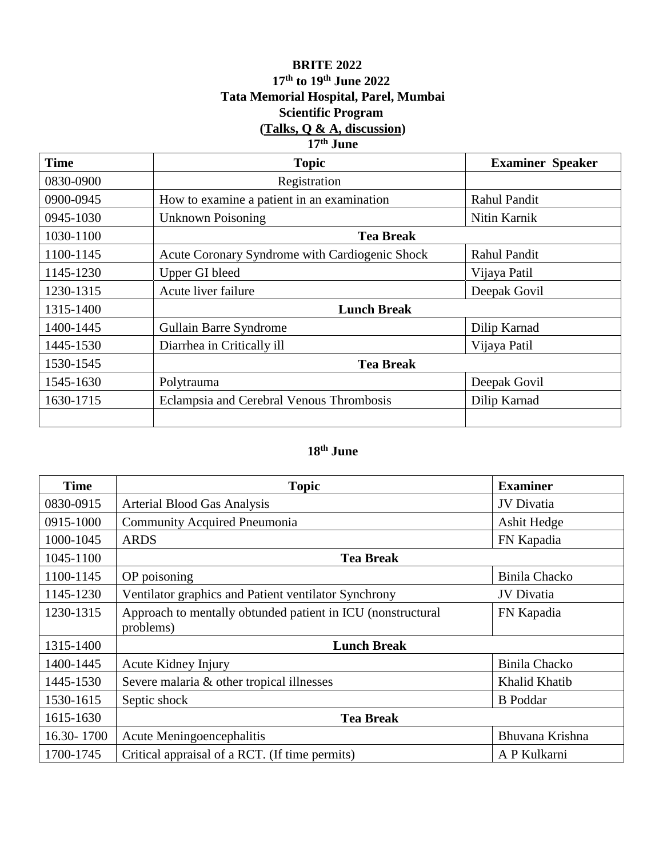## **BRITE 2022 17th to 19th June 2022 Tata Memorial Hospital, Parel, Mumbai Scientific Program (Talks, Q & A, discussion) 17th June**

## **Time Topic Examiner Speaker** 0830-0900 Registration 0900-0945 How to examine a patient in an examination Rahul Pandit 0945-1030 Unknown Poisoning Nitin Karnik 1030-1100 **Tea Break** 1100-1145 | Acute Coronary Syndrome with Cardiogenic Shock | Rahul Pandit 1145-1230 | Upper GI bleed | Vijaya Patil 1230-1315 | Acute liver failure | Deepak Govil 1315-1400 **Lunch Break** 1400-1445 | Gullain Barre Syndrome | Dilip Karnad 1445-1530 Diarrhea in Critically ill Vijaya Patil 1530-1545 **Tea Break** 1545-1630 | Polytrauma | Deepak Govil 1630-1715 Eclampsia and Cerebral Venous Thrombosis Dilip Karnad

## **18th June**

| <b>Time</b> | <b>Topic</b>                                                             | <b>Examiner</b>   |
|-------------|--------------------------------------------------------------------------|-------------------|
| 0830-0915   | Arterial Blood Gas Analysis                                              | <b>JV</b> Divatia |
| 0915-1000   | <b>Community Acquired Pneumonia</b>                                      | Ashit Hedge       |
| 1000-1045   | <b>ARDS</b>                                                              | FN Kapadia        |
| 1045-1100   | <b>Tea Break</b>                                                         |                   |
| 1100-1145   | OP poisoning                                                             | Binila Chacko     |
| 1145-1230   | Ventilator graphics and Patient ventilator Synchrony                     | JV Divatia        |
| 1230-1315   | Approach to mentally obtunded patient in ICU (nonstructural<br>problems) | FN Kapadia        |
| 1315-1400   | <b>Lunch Break</b>                                                       |                   |
| 1400-1445   | Acute Kidney Injury                                                      | Binila Chacko     |
| 1445-1530   | Severe malaria & other tropical illnesses                                | Khalid Khatib     |
| 1530-1615   | Septic shock                                                             | <b>B</b> Poddar   |
| 1615-1630   | <b>Tea Break</b>                                                         |                   |
| 16.30-1700  | Acute Meningoencephalitis                                                | Bhuvana Krishna   |
| 1700-1745   | Critical appraisal of a RCT. (If time permits)                           | A P Kulkarni      |